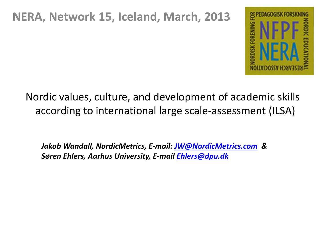#### **NERA, Network 15, Iceland, March, 2013**



Nordic values, culture, and development of academic skills according to international large scale-assessment (ILSA)

*Jakob Wandall, NordicMetrics, E-mail: [JW@NordicMetrics.com](mailto:JW@NordicMetrics.com) & Søren Ehlers, Aarhus University, E-mail [Ehlers@dpu.dk](mailto:Ehlers@dpu.dk)*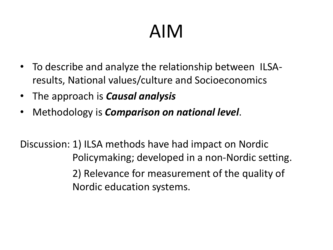## AIM

- To describe and analyze the relationship between ILSAresults, National values/culture and Socioeconomics
- The approach is *Causal analysis*
- Methodology is *Comparison on national level*.

Discussion: 1) ILSA methods have had impact on Nordic Policymaking; developed in a non-Nordic setting. 2) Relevance for measurement of the quality of Nordic education systems.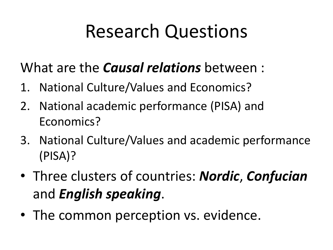### Research Questions

What are the *Causal relations* between :

- 1. National Culture/Values and Economics?
- 2. National academic performance (PISA) and Economics?
- 3. National Culture/Values and academic performance (PISA)?
- Three clusters of countries: *Nordic*, *Confucian* and *English speaking*.
- The common perception vs. evidence.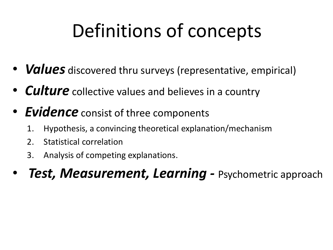### Definitions of concepts

- *Values* discovered thru surveys (representative, empirical)
- *Culture* collective values and believes in a country
- *Evidence* consist of three components
	- 1. Hypothesis, a convincing theoretical explanation/mechanism
	- 2. Statistical correlation
	- 3. Analysis of competing explanations.
- *Test, Measurement, Learning Psychometric approach*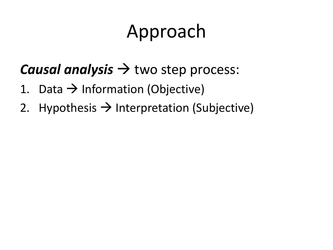### Approach

#### *Causal analysis*  $\rightarrow$  two step process:

- 1. Data  $\rightarrow$  Information (Objective)
- 2. Hypothesis  $\rightarrow$  Interpretation (Subjective)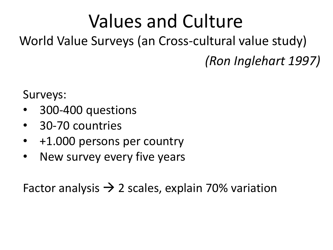### Values and Culture

#### World Value Surveys (an Cross-cultural value study) *(Ron Inglehart 1997)*

Surveys:

- 300-400 questions
- 30-70 countries
- +1.000 persons per country
- New survey every five years

Factor analysis  $\rightarrow$  2 scales, explain 70% variation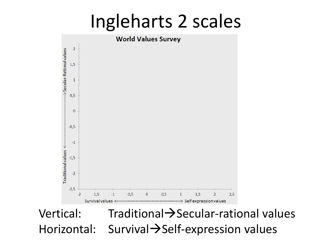### Ingleharts 2 scales



Vertical:  $Traditional \rightarrow$ Secular-rational values Horizontal: Survival $\rightarrow$ Self-expression values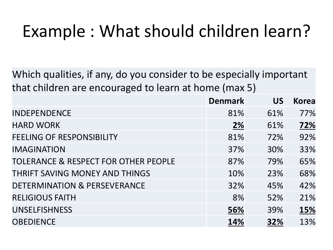### Example : What should children learn?

Which qualities, if any, do you consider to be especially important that children are encouraged to learn at home (max 5)

|                                                 | <b>Denmark</b> | <b>US</b> | <b>Korea</b> |
|-------------------------------------------------|----------------|-----------|--------------|
| <b>INDEPENDENCE</b>                             | 81%            | 61%       | 77%          |
| <b>HARD WORK</b>                                | <b>2%</b>      | 61%       | 72%          |
| <b>FEELING OF RESPONSIBILITY</b>                | 81%            | 72%       | 92%          |
| <b>IMAGINATION</b>                              | 37%            | 30%       | 33%          |
| <b>TOLERANCE &amp; RESPECT FOR OTHER PEOPLE</b> | 87%            | 79%       | 65%          |
| THRIFT SAVING MONEY AND THINGS                  | 10%            | 23%       | 68%          |
| DETERMINATION & PERSEVERANCE                    | 32%            | 45%       | 42%          |
| <b>RELIGIOUS FAITH</b>                          | 8%             | 52%       | 21%          |
| <b>UNSELFISHNESS</b>                            | 56%            | 39%       | 15%          |
| <b>OBEDIENCE</b>                                | 14%            | 32%       | 13%          |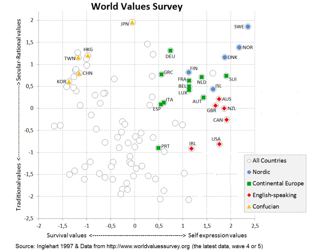

Source: Inglehart 1997 & Data from http://www.worldvaluessurvey.org (the latest data, wave 4 or 5)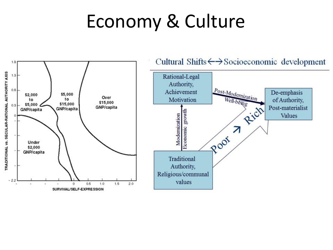### Economy & Culture

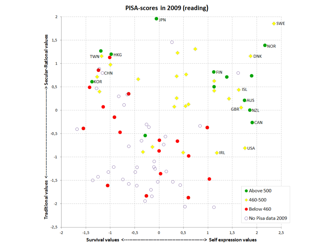

PISA-scores in 2009 (reading)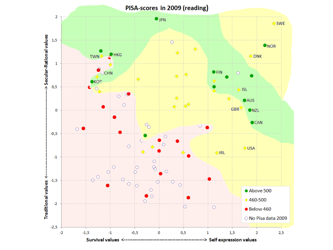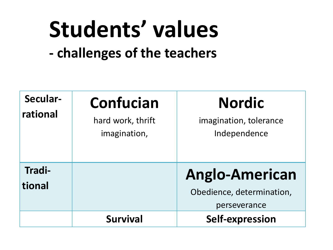# **Students' values**

**- challenges of the teachers**

| Secular-<br>rational | <b>Confucian</b><br>hard work, thrift<br>imagination, | <b>Nordic</b><br>imagination, tolerance<br>Independence |
|----------------------|-------------------------------------------------------|---------------------------------------------------------|
| Tradi-               |                                                       | <b>Anglo-American</b>                                   |
| tional               |                                                       | Obedience, determination,                               |
|                      |                                                       | perseverance                                            |
|                      | <b>Survival</b>                                       | Self-expression                                         |